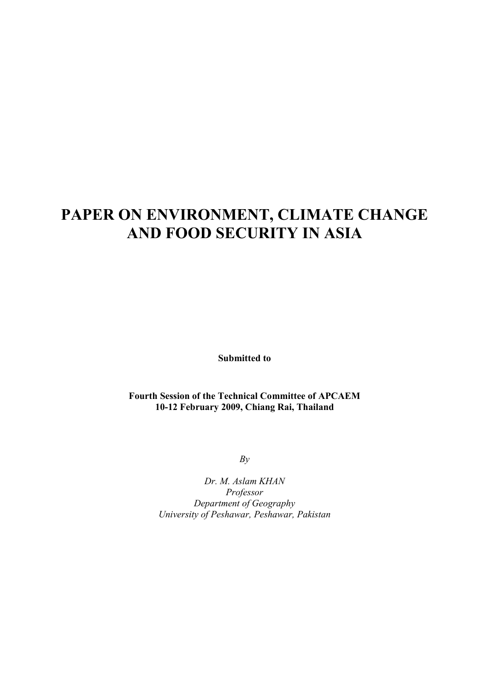# **PAPER ON ENVIRONMENT, CLIMATE CHANGE AND FOOD SECURITY IN ASIA**

**Submitted to** 

#### **Fourth Session of the Technical Committee of APCAEM 10-12 February 2009, Chiang Rai, Thailand**

*By* 

*Dr. M. Aslam KHAN Professor Department of Geography University of Peshawar, Peshawar, Pakistan*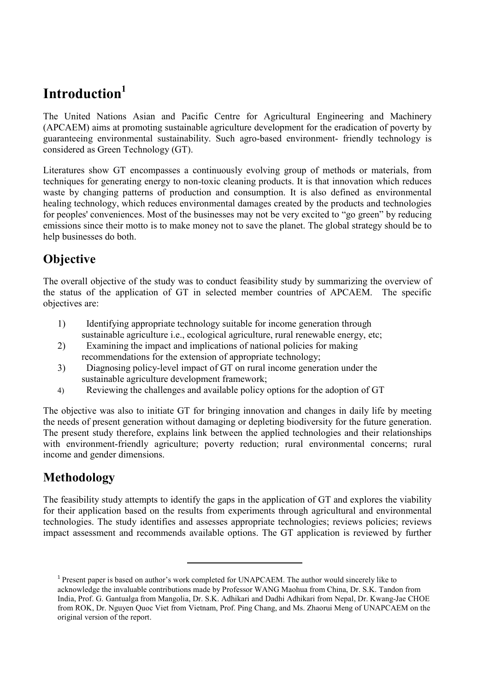# **Introduction<sup>1</sup>**

The United Nations Asian and Pacific Centre for Agricultural Engineering and Machinery (APCAEM) aims at promoting sustainable agriculture development for the eradication of poverty by guaranteeing environmental sustainability. Such agro-based environment- friendly technology is considered as Green Technology (GT).

Literatures show GT encompasses a continuously evolving group of methods or materials, from techniques for generating energy to non-toxic cleaning products. It is that innovation which reduces waste by changing patterns of production and consumption. It is also defined as environmental healing technology, which reduces environmental damages created by the products and technologies for peoples' conveniences. Most of the businesses may not be very excited to "go green" by reducing emissions since their motto is to make money not to save the planet. The global strategy should be to help businesses do both.

## **Objective**

The overall objective of the study was to conduct feasibility study by summarizing the overview of the status of the application of GT in selected member countries of APCAEM. The specific objectives are:

- 1) Identifying appropriate technology suitable for income generation through sustainable agriculture i.e., ecological agriculture, rural renewable energy, etc;
- 2) Examining the impact and implications of national policies for making recommendations for the extension of appropriate technology;
- 3) Diagnosing policy-level impact of GT on rural income generation under the sustainable agriculture development framework;
- 4) Reviewing the challenges and available policy options for the adoption of GT

The objective was also to initiate GT for bringing innovation and changes in daily life by meeting the needs of present generation without damaging or depleting biodiversity for the future generation. The present study therefore, explains link between the applied technologies and their relationships with environment-friendly agriculture; poverty reduction; rural environmental concerns; rural income and gender dimensions.

## **Methodology**

The feasibility study attempts to identify the gaps in the application of GT and explores the viability for their application based on the results from experiments through agricultural and environmental technologies. The study identifies and assesses appropriate technologies; reviews policies; reviews impact assessment and recommends available options. The GT application is reviewed by further

 $\overline{a}$ 

<sup>&</sup>lt;sup>1</sup> Present paper is based on author's work completed for UNAPCAEM. The author would sincerely like to acknowledge the invaluable contributions made by Professor WANG Maohua from China, Dr. S.K. Tandon from India, Prof. G. Gantualga from Mangolia, Dr. S.K. Adhikari and Dadhi Adhikari from Nepal, Dr. Kwang-Jae CHOE from ROK, Dr. Nguyen Quoc Viet from Vietnam, Prof. Ping Chang, and Ms. Zhaorui Meng of UNAPCAEM on the original version of the report.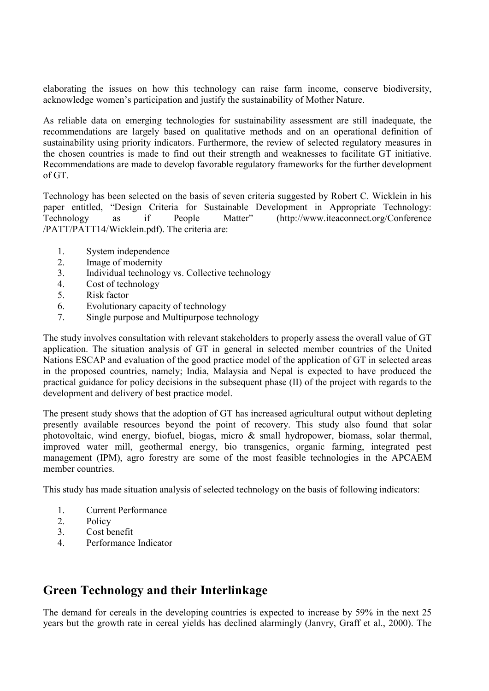elaborating the issues on how this technology can raise farm income, conserve biodiversity, acknowledge women's participation and justify the sustainability of Mother Nature.

As reliable data on emerging technologies for sustainability assessment are still inadequate, the recommendations are largely based on qualitative methods and on an operational definition of sustainability using priority indicators. Furthermore, the review of selected regulatory measures in the chosen countries is made to find out their strength and weaknesses to facilitate GT initiative. Recommendations are made to develop favorable regulatory frameworks for the further development of GT.

Technology has been selected on the basis of seven criteria suggested by Robert C. Wicklein in his paper entitled, "Design Criteria for Sustainable Development in Appropriate Technology: Technology as if People Matter" (http://www.iteaconnect.org/Conference /PATT/PATT14/Wicklein.pdf). The criteria are:

- 1. System independence<br>2 Image of modernity
- Image of modernity
- 3. Individual technology vs. Collective technology
- 4. Cost of technology
- 5. Risk factor
- 6. Evolutionary capacity of technology
- 7. Single purpose and Multipurpose technology

The study involves consultation with relevant stakeholders to properly assess the overall value of GT application. The situation analysis of GT in general in selected member countries of the United Nations ESCAP and evaluation of the good practice model of the application of GT in selected areas in the proposed countries, namely; India, Malaysia and Nepal is expected to have produced the practical guidance for policy decisions in the subsequent phase (II) of the project with regards to the development and delivery of best practice model.

The present study shows that the adoption of GT has increased agricultural output without depleting presently available resources beyond the point of recovery. This study also found that solar photovoltaic, wind energy, biofuel, biogas, micro & small hydropower, biomass, solar thermal, improved water mill, geothermal energy, bio transgenics, organic farming, integrated pest management (IPM), agro forestry are some of the most feasible technologies in the APCAEM member countries.

This study has made situation analysis of selected technology on the basis of following indicators:

- 1. Current Performance
- 2. Policy
- 3. Cost benefit
- 4. Performance Indicator

### **Green Technology and their Interlinkage**

The demand for cereals in the developing countries is expected to increase by 59% in the next 25 years but the growth rate in cereal yields has declined alarmingly (Janvry, Graff et al., 2000). The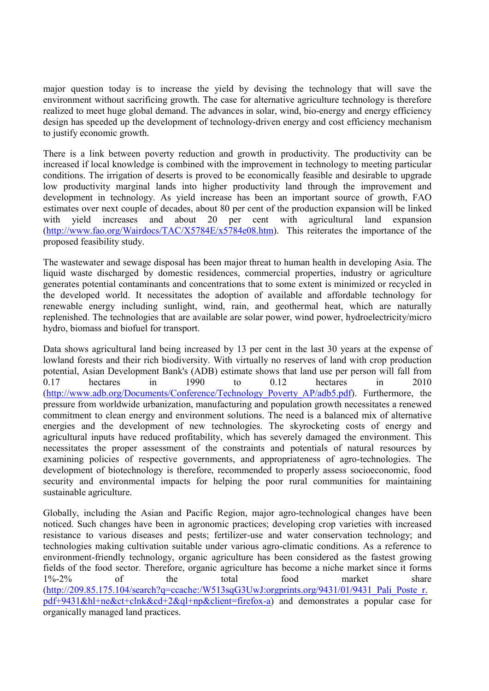major question today is to increase the yield by devising the technology that will save the environment without sacrificing growth. The case for alternative agriculture technology is therefore realized to meet huge global demand. The advances in solar, wind, bio-energy and energy efficiency design has speeded up the development of technology-driven energy and cost efficiency mechanism to justify economic growth.

There is a link between poverty reduction and growth in productivity. The productivity can be increased if local knowledge is combined with the improvement in technology to meeting particular conditions. The irrigation of deserts is proved to be economically feasible and desirable to upgrade low productivity marginal lands into higher productivity land through the improvement and development in technology. As yield increase has been an important source of growth, FAO estimates over next couple of decades, about 80 per cent of the production expansion will be linked with yield increases and about 20 per cent with agricultural land expansion (http://www.fao.org/Wairdocs/TAC/X5784E/x5784e08.htm). This reiterates the importance of the proposed feasibility study.

The wastewater and sewage disposal has been major threat to human health in developing Asia. The liquid waste discharged by domestic residences, commercial properties, industry or agriculture generates potential contaminants and concentrations that to some extent is minimized or recycled in the developed world. It necessitates the adoption of available and affordable technology for renewable energy including sunlight, wind, rain, and geothermal heat, which are naturally replenished. The technologies that are available are solar power, wind power, hydroelectricity/micro hydro, biomass and biofuel for transport.

Data shows agricultural land being increased by 13 per cent in the last 30 years at the expense of lowland forests and their rich biodiversity. With virtually no reserves of land with crop production potential, Asian Development Bank's (ADB) estimate shows that land use per person will fall from 0.17 hectares in 1990 to 0.12 hectares in 2010 (http://www.adb.org/Documents/Conference/Technology\_Poverty\_AP/adb5.pdf). Furthermore, the pressure from worldwide urbanization, manufacturing and population growth necessitates a renewed commitment to clean energy and environment solutions. The need is a balanced mix of alternative energies and the development of new technologies. The skyrocketing costs of energy and agricultural inputs have reduced profitability, which has severely damaged the environment. This necessitates the proper assessment of the constraints and potentials of natural resources by examining policies of respective governments, and appropriateness of agro-technologies. The development of biotechnology is therefore, recommended to properly assess socioeconomic, food security and environmental impacts for helping the poor rural communities for maintaining sustainable agriculture.

Globally, including the Asian and Pacific Region, major agro-technological changes have been noticed. Such changes have been in agronomic practices; developing crop varieties with increased resistance to various diseases and pests; fertilizer-use and water conservation technology; and technologies making cultivation suitable under various agro-climatic conditions. As a reference to environment-friendly technology, organic agriculture has been considered as the fastest growing fields of the food sector. Therefore, organic agriculture has become a niche market since it forms 1%-2% of the total food market share (http://209.85.175.104/search?q=ccache:/W513sqG3UwJ:orgprints.org/9431/01/9431\_Pali\_Poste\_r. pdf+9431&hl+ne&ct+clnk&cd+2&ql+np&client=firefox-a) and demonstrates a popular case for organically managed land practices.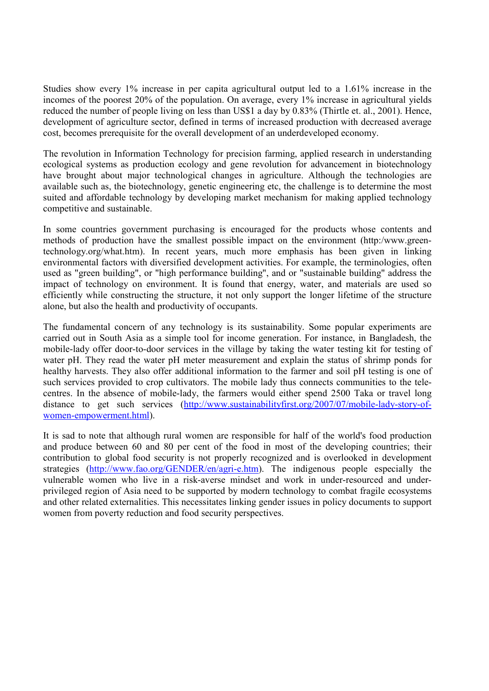Studies show every 1% increase in per capita agricultural output led to a 1.61% increase in the incomes of the poorest 20% of the population. On average, every 1% increase in agricultural yields reduced the number of people living on less than US\$1 a day by 0.83% (Thirtle et. al., 2001). Hence, development of agriculture sector, defined in terms of increased production with decreased average cost, becomes prerequisite for the overall development of an underdeveloped economy.

The revolution in Information Technology for precision farming, applied research in understanding ecological systems as production ecology and gene revolution for advancement in biotechnology have brought about major technological changes in agriculture. Although the technologies are available such as, the biotechnology, genetic engineering etc, the challenge is to determine the most suited and affordable technology by developing market mechanism for making applied technology competitive and sustainable.

In some countries government purchasing is encouraged for the products whose contents and methods of production have the smallest possible impact on the environment (http:/www.greentechnology.org/what.htm). In recent years, much more emphasis has been given in linking environmental factors with diversified development activities. For example, the terminologies, often used as "green building", or "high performance building", and or "sustainable building" address the impact of technology on environment. It is found that energy, water, and materials are used so efficiently while constructing the structure, it not only support the longer lifetime of the structure alone, but also the health and productivity of occupants.

The fundamental concern of any technology is its sustainability. Some popular experiments are carried out in South Asia as a simple tool for income generation. For instance, in Bangladesh, the mobile-lady offer door-to-door services in the village by taking the water testing kit for testing of water pH. They read the water pH meter measurement and explain the status of shrimp ponds for healthy harvests. They also offer additional information to the farmer and soil pH testing is one of such services provided to crop cultivators. The mobile lady thus connects communities to the telecentres. In the absence of mobile-lady, the farmers would either spend 2500 Taka or travel long distance to get such services (http://www.sustainabilityfirst.org/2007/07/mobile-lady-story-ofwomen-empowerment.html).

It is sad to note that although rural women are responsible for half of the world's food production and produce between 60 and 80 per cent of the food in most of the developing countries; their contribution to global food security is not properly recognized and is overlooked in development strategies (http://www.fao.org/GENDER/en/agri-e.htm). The indigenous people especially the vulnerable women who live in a risk-averse mindset and work in under-resourced and underprivileged region of Asia need to be supported by modern technology to combat fragile ecosystems and other related externalities. This necessitates linking gender issues in policy documents to support women from poverty reduction and food security perspectives.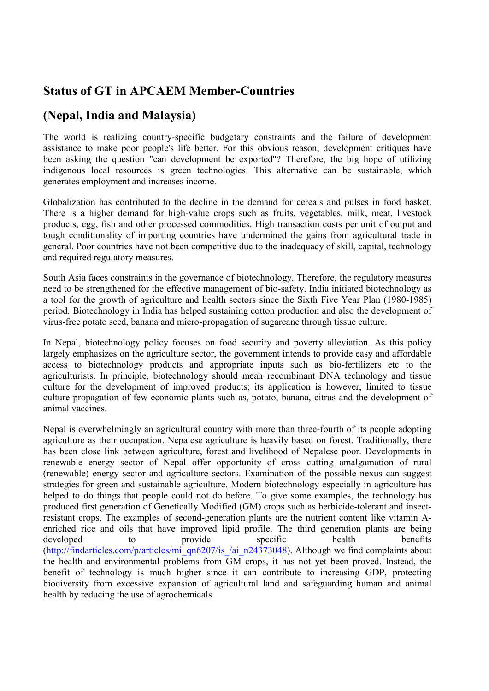## **Status of GT in APCAEM Member-Countries**

## **(Nepal, India and Malaysia)**

The world is realizing country-specific budgetary constraints and the failure of development assistance to make poor people's life better. For this obvious reason, development critiques have been asking the question "can development be exported"? Therefore, the big hope of utilizing indigenous local resources is green technologies. This alternative can be sustainable, which generates employment and increases income.

Globalization has contributed to the decline in the demand for cereals and pulses in food basket. There is a higher demand for high-value crops such as fruits, vegetables, milk, meat, livestock products, egg, fish and other processed commodities. High transaction costs per unit of output and tough conditionality of importing countries have undermined the gains from agricultural trade in general. Poor countries have not been competitive due to the inadequacy of skill, capital, technology and required regulatory measures.

South Asia faces constraints in the governance of biotechnology. Therefore, the regulatory measures need to be strengthened for the effective management of bio-safety. India initiated biotechnology as a tool for the growth of agriculture and health sectors since the Sixth Five Year Plan (1980-1985) period. Biotechnology in India has helped sustaining cotton production and also the development of virus-free potato seed, banana and micro-propagation of sugarcane through tissue culture.

In Nepal, biotechnology policy focuses on food security and poverty alleviation. As this policy largely emphasizes on the agriculture sector, the government intends to provide easy and affordable access to biotechnology products and appropriate inputs such as bio-fertilizers etc to the agriculturists. In principle, biotechnology should mean recombinant DNA technology and tissue culture for the development of improved products; its application is however, limited to tissue culture propagation of few economic plants such as, potato, banana, citrus and the development of animal vaccines.

Nepal is overwhelmingly an agricultural country with more than three-fourth of its people adopting agriculture as their occupation. Nepalese agriculture is heavily based on forest. Traditionally, there has been close link between agriculture, forest and livelihood of Nepalese poor. Developments in renewable energy sector of Nepal offer opportunity of cross cutting amalgamation of rural (renewable) energy sector and agriculture sectors. Examination of the possible nexus can suggest strategies for green and sustainable agriculture. Modern biotechnology especially in agriculture has helped to do things that people could not do before. To give some examples, the technology has produced first generation of Genetically Modified (GM) crops such as herbicide-tolerant and insectresistant crops. The examples of second-generation plants are the nutrient content like vitamin Aenriched rice and oils that have improved lipid profile. The third generation plants are being developed to provide specific health benefits (http://findarticles.com/p/articles/mi\_qn6207/is\_/ai\_n24373048). Although we find complaints about the health and environmental problems from GM crops, it has not yet been proved. Instead, the benefit of technology is much higher since it can contribute to increasing GDP, protecting biodiversity from excessive expansion of agricultural land and safeguarding human and animal health by reducing the use of agrochemicals.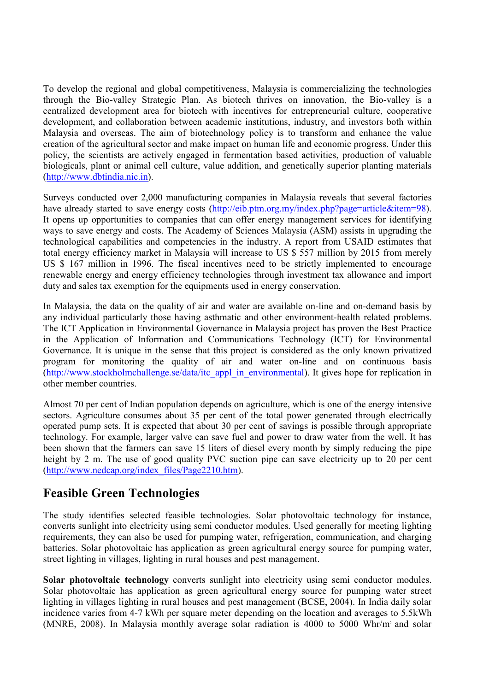To develop the regional and global competitiveness, Malaysia is commercializing the technologies through the Bio-valley Strategic Plan. As biotech thrives on innovation, the Bio-valley is a centralized development area for biotech with incentives for entrepreneurial culture, cooperative development, and collaboration between academic institutions, industry, and investors both within Malaysia and overseas. The aim of biotechnology policy is to transform and enhance the value creation of the agricultural sector and make impact on human life and economic progress. Under this policy, the scientists are actively engaged in fermentation based activities, production of valuable biologicals, plant or animal cell culture, value addition, and genetically superior planting materials (http://www.dbtindia.nic.in).

Surveys conducted over 2,000 manufacturing companies in Malaysia reveals that several factories have already started to save energy costs (http://eib.ptm.org.my/index.php?page=article&item=98). It opens up opportunities to companies that can offer energy management services for identifying ways to save energy and costs. The Academy of Sciences Malaysia (ASM) assists in upgrading the technological capabilities and competencies in the industry. A report from USAID estimates that total energy efficiency market in Malaysia will increase to US \$ 557 million by 2015 from merely US \$ 167 million in 1996. The fiscal incentives need to be strictly implemented to encourage renewable energy and energy efficiency technologies through investment tax allowance and import duty and sales tax exemption for the equipments used in energy conservation.

In Malaysia, the data on the quality of air and water are available on-line and on-demand basis by any individual particularly those having asthmatic and other environment-health related problems. The ICT Application in Environmental Governance in Malaysia project has proven the Best Practice in the Application of Information and Communications Technology (ICT) for Environmental Governance. It is unique in the sense that this project is considered as the only known privatized program for monitoring the quality of air and water on-line and on continuous basis (http://www.stockholmchallenge.se/data/itc\_appl\_in\_environmental). It gives hope for replication in other member countries.

Almost 70 per cent of Indian population depends on agriculture, which is one of the energy intensive sectors. Agriculture consumes about 35 per cent of the total power generated through electrically operated pump sets. It is expected that about 30 per cent of savings is possible through appropriate technology. For example, larger valve can save fuel and power to draw water from the well. It has been shown that the farmers can save 15 liters of diesel every month by simply reducing the pipe height by 2 m. The use of good quality PVC suction pipe can save electricity up to 20 per cent (http://www.nedcap.org/index\_files/Page2210.htm).

### **Feasible Green Technologies**

The study identifies selected feasible technologies. Solar photovoltaic technology for instance, converts sunlight into electricity using semi conductor modules. Used generally for meeting lighting requirements, they can also be used for pumping water, refrigeration, communication, and charging batteries. Solar photovoltaic has application as green agricultural energy source for pumping water, street lighting in villages, lighting in rural houses and pest management.

**Solar photovoltaic technology** converts sunlight into electricity using semi conductor modules. Solar photovoltaic has application as green agricultural energy source for pumping water street lighting in villages lighting in rural houses and pest management (BCSE, 2004). In India daily solar incidence varies from 4-7 kWh per square meter depending on the location and averages to 5.5kWh (MNRE, 2008). In Malaysia monthly average solar radiation is 4000 to 5000 Whr/m<sup>2</sup> and solar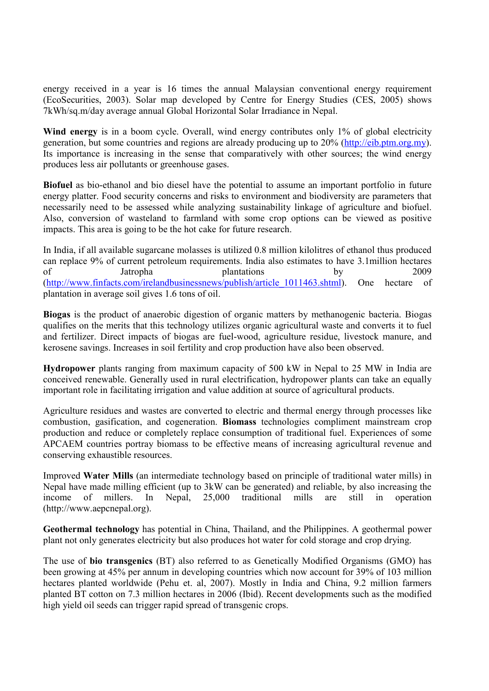energy received in a year is 16 times the annual Malaysian conventional energy requirement (EcoSecurities, 2003). Solar map developed by Centre for Energy Studies (CES, 2005) shows 7kWh/sq.m/day average annual Global Horizontal Solar Irradiance in Nepal.

Wind energy is in a boom cycle. Overall, wind energy contributes only 1% of global electricity generation, but some countries and regions are already producing up to 20% (http://eib.ptm.org.my). Its importance is increasing in the sense that comparatively with other sources; the wind energy produces less air pollutants or greenhouse gases.

**Biofuel** as bio-ethanol and bio diesel have the potential to assume an important portfolio in future energy platter. Food security concerns and risks to environment and biodiversity are parameters that necessarily need to be assessed while analyzing sustainability linkage of agriculture and biofuel. Also, conversion of wasteland to farmland with some crop options can be viewed as positive impacts. This area is going to be the hot cake for future research.

In India, if all available sugarcane molasses is utilized 0.8 million kilolitres of ethanol thus produced can replace 9% of current petroleum requirements. India also estimates to have 3.1million hectares of Jatropha plantations by 2009 (http://www.finfacts.com/irelandbusinessnews/publish/article\_1011463.shtml). One hectare of plantation in average soil gives 1.6 tons of oil.

**Biogas** is the product of anaerobic digestion of organic matters by methanogenic bacteria. Biogas qualifies on the merits that this technology utilizes organic agricultural waste and converts it to fuel and fertilizer. Direct impacts of biogas are fuel-wood, agriculture residue, livestock manure, and kerosene savings. Increases in soil fertility and crop production have also been observed.

**Hydropower** plants ranging from maximum capacity of 500 kW in Nepal to 25 MW in India are conceived renewable. Generally used in rural electrification, hydropower plants can take an equally important role in facilitating irrigation and value addition at source of agricultural products.

Agriculture residues and wastes are converted to electric and thermal energy through processes like combustion, gasification, and cogeneration. **Biomass** technologies compliment mainstream crop production and reduce or completely replace consumption of traditional fuel. Experiences of some APCAEM countries portray biomass to be effective means of increasing agricultural revenue and conserving exhaustible resources.

Improved **Water Mills** (an intermediate technology based on principle of traditional water mills) in Nepal have made milling efficient (up to 3kW can be generated) and reliable, by also increasing the income of millers. In Nepal, 25,000 traditional mills are still in operation (http://www.aepcnepal.org).

**Geothermal technology** has potential in China, Thailand, and the Philippines. A geothermal power plant not only generates electricity but also produces hot water for cold storage and crop drying.

The use of **bio transgenics** (BT) also referred to as Genetically Modified Organisms (GMO) has been growing at 45% per annum in developing countries which now account for 39% of 103 million hectares planted worldwide (Pehu et. al. 2007). Mostly in India and China, 9.2 million farmers planted BT cotton on 7.3 million hectares in 2006 (Ibid). Recent developments such as the modified high yield oil seeds can trigger rapid spread of transgenic crops.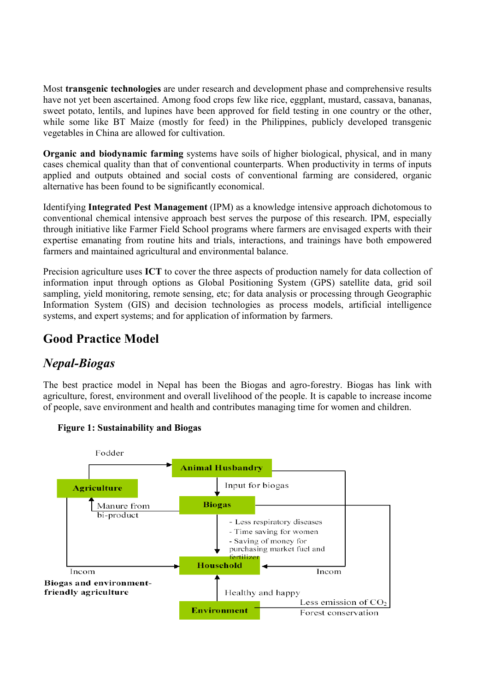Most **transgenic technologies** are under research and development phase and comprehensive results have not yet been ascertained. Among food crops few like rice, eggplant, mustard, cassava, bananas, sweet potato, lentils, and lupines have been approved for field testing in one country or the other, while some like BT Maize (mostly for feed) in the Philippines, publicly developed transgenic vegetables in China are allowed for cultivation.

**Organic and biodynamic farming** systems have soils of higher biological, physical, and in many cases chemical quality than that of conventional counterparts. When productivity in terms of inputs applied and outputs obtained and social costs of conventional farming are considered, organic alternative has been found to be significantly economical.

Identifying **Integrated Pest Management** (IPM) as a knowledge intensive approach dichotomous to conventional chemical intensive approach best serves the purpose of this research. IPM, especially through initiative like Farmer Field School programs where farmers are envisaged experts with their expertise emanating from routine hits and trials, interactions, and trainings have both empowered farmers and maintained agricultural and environmental balance.

Precision agriculture uses **ICT** to cover the three aspects of production namely for data collection of information input through options as Global Positioning System (GPS) satellite data, grid soil sampling, yield monitoring, remote sensing, etc; for data analysis or processing through Geographic Information System (GIS) and decision technologies as process models, artificial intelligence systems, and expert systems; and for application of information by farmers.

### **Good Practice Model**

### *Nepal-Biogas*

The best practice model in Nepal has been the Biogas and agro-forestry. Biogas has link with agriculture, forest, environment and overall livelihood of the people. It is capable to increase income of people, save environment and health and contributes managing time for women and children.



#### **Figure 1: Sustainability and Biogas**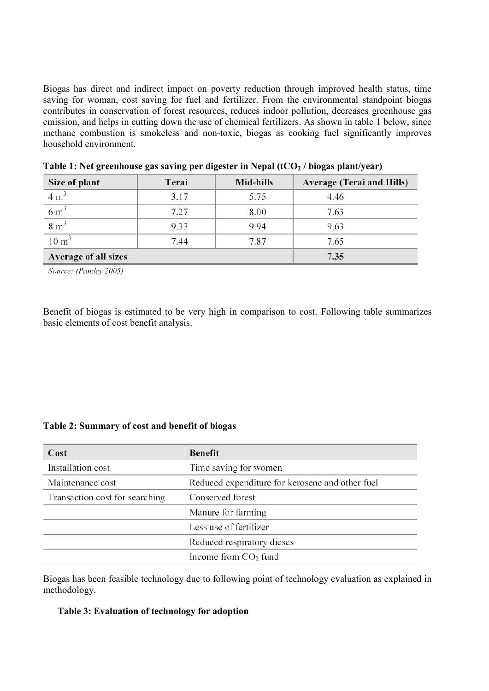Biogas has direct and indirect impact on poverty reduction through improved health status, time saving for woman, cost saving for fuel and fertilizer. From the environmental standpoint biogas contributes in conservation of forest resources, reduces indoor pollution, decreases greenhouse gas emission, and helps in cutting down the use of chemical fertilizers. As shown in table 1 below, since methane combustion is smokeless and non-toxic, biogas as cooking fuel significantly improves household environment.

| Size of plant        | Terai | Mid-hills | <b>Average (Terai and Hills)</b> |  |
|----------------------|-------|-----------|----------------------------------|--|
| $4 \text{ m}^3$      | 3.17  | 5.75      | 4.46                             |  |
| $6 \text{ m}^3$      | 7.27  | 8.00      | 7.63                             |  |
| $8 \text{ m}^3$      | 9.33  | 9.94      | 9.63                             |  |
| $10 \text{ m}^3$     | 7.44  | 7.87      | 7.65                             |  |
| Average of all sizes | 7.35  |           |                                  |  |

Source: (Pandey 2005)

Benefit of biogas is estimated to be very high in comparison to cost. Following table summarizes basic elements of cost benefit analysis.

#### **Table 2: Summary of cost and benefit of biogas**

| Cost                           | <b>Benefit</b>                                  |  |  |
|--------------------------------|-------------------------------------------------|--|--|
| Installation cost              | Time saving for women                           |  |  |
| Maintenance cost               | Reduced expenditure for kerosene and other fuel |  |  |
| Transaction cost for searching | Conserved forest                                |  |  |
|                                | Manure for farming                              |  |  |
|                                | Less use of fertilizer                          |  |  |
|                                | Reduced respiratory dieses                      |  |  |
|                                | Income from $CO2$ fund                          |  |  |

Biogas has been feasible technology due to following point of technology evaluation as explained in methodology.

#### **Table 3: Evaluation of technology for adoption**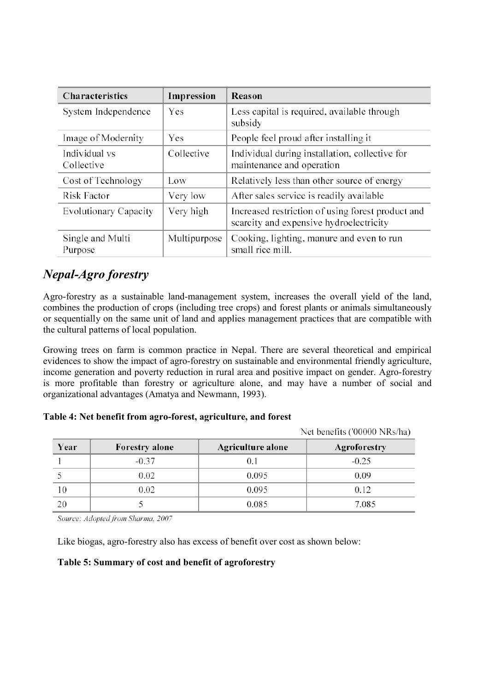| <b>Characteristics</b>       | Impression   | Reason                                                                                       |
|------------------------------|--------------|----------------------------------------------------------------------------------------------|
| System Independence          | Yes          | Less capital is required, available through<br>subsidy                                       |
| Image of Modernity           | Yes          | People feel proud after installing it                                                        |
| Individual vs<br>Collective  | Collective   | Individual during installation, collective for<br>maintenance and operation                  |
| Cost of Technology           | Low          | Relatively less than other source of energy                                                  |
| <b>Risk Factor</b>           | Very low     | After sales service is readily available                                                     |
| <b>Evolutionary Capacity</b> | Very high    | Increased restriction of using forest product and<br>scarcity and expensive hydroelectricity |
| Single and Multi<br>Purpose  | Multipurpose | Cooking, lighting, manure and even to run<br>small rice mill.                                |

## *Nepal-Agro forestry*

Agro-forestry as a sustainable land-management system, increases the overall yield of the land, combines the production of crops (including tree crops) and forest plants or animals simultaneously or sequentially on the same unit of land and applies management practices that are compatible with the cultural patterns of local population.

Growing trees on farm is common practice in Nepal. There are several theoretical and empirical evidences to show the impact of agro-forestry on sustainable and environmental friendly agriculture, income generation and poverty reduction in rural area and positive impact on gender. Agro-forestry is more profitable than forestry or agriculture alone, and may have a number of social and organizational advantages (Amatya and Newmann, 1993).

#### **Table 4: Net benefit from agro-forest, agriculture, and forest**

Year Agriculture alone **Forestry** alone Agroforestry  $\mathbf{1}$  $-0.37$  $0.1$  $-0.25$ 5 0.02 0.095 0.09 10 0.02 0.095 0.12 5 0.085 7.085 20

Net benefits ('00000 NRs/ha)

Source: Adopted from Sharma, 2007

Like biogas, agro-forestry also has excess of benefit over cost as shown below:

#### **Table 5: Summary of cost and benefit of agroforestry**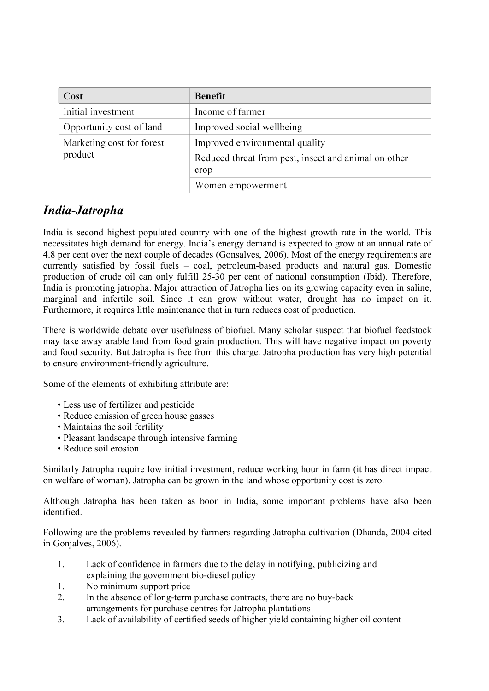| Cost                      | <b>Benefit</b>                                               |  |  |  |
|---------------------------|--------------------------------------------------------------|--|--|--|
| Initial investment        | Income of farmer                                             |  |  |  |
| Opportunity cost of land  | Improved social wellbeing                                    |  |  |  |
| Marketing cost for forest | Improved environmental quality                               |  |  |  |
| product                   | Reduced threat from pest, insect and animal on other<br>crop |  |  |  |
|                           | Women empowerment                                            |  |  |  |

### *India-Jatropha*

India is second highest populated country with one of the highest growth rate in the world. This necessitates high demand for energy. India's energy demand is expected to grow at an annual rate of 4.8 per cent over the next couple of decades (Gonsalves, 2006). Most of the energy requirements are currently satisfied by fossil fuels – coal, petroleum-based products and natural gas. Domestic production of crude oil can only fulfill 25-30 per cent of national consumption (Ibid). Therefore, India is promoting jatropha. Major attraction of Jatropha lies on its growing capacity even in saline, marginal and infertile soil. Since it can grow without water, drought has no impact on it. Furthermore, it requires little maintenance that in turn reduces cost of production.

There is worldwide debate over usefulness of biofuel. Many scholar suspect that biofuel feedstock may take away arable land from food grain production. This will have negative impact on poverty and food security. But Jatropha is free from this charge. Jatropha production has very high potential to ensure environment-friendly agriculture.

Some of the elements of exhibiting attribute are:

- Less use of fertilizer and pesticide
- Reduce emission of green house gasses
- Maintains the soil fertility
- Pleasant landscape through intensive farming
- Reduce soil erosion

Similarly Jatropha require low initial investment, reduce working hour in farm (it has direct impact on welfare of woman). Jatropha can be grown in the land whose opportunity cost is zero.

Although Jatropha has been taken as boon in India, some important problems have also been identified.

Following are the problems revealed by farmers regarding Jatropha cultivation (Dhanda, 2004 cited in Gonjalves, 2006).

- 1. Lack of confidence in farmers due to the delay in notifying, publicizing and explaining the government bio-diesel policy
- 1. No minimum support price
- 2. In the absence of long-term purchase contracts, there are no buy-back arrangements for purchase centres for Jatropha plantations
- 3. Lack of availability of certified seeds of higher yield containing higher oil content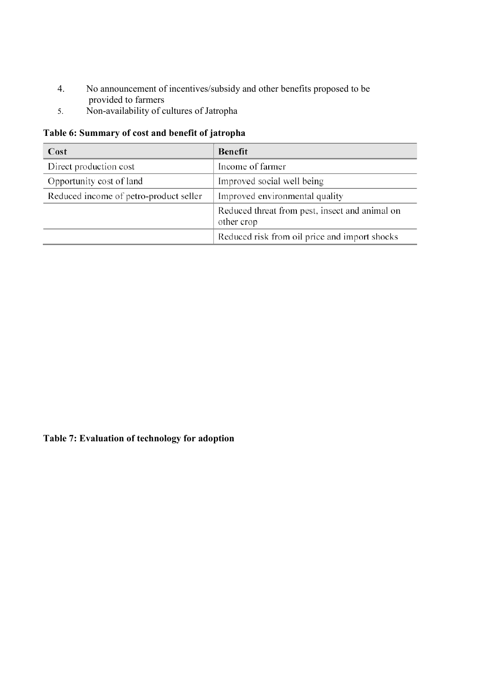- 4. No announcement of incentives/subsidy and other benefits proposed to be provided to farmers
- 5. Non-availability of cultures of Jatropha

### **Table 6: Summary of cost and benefit of jatropha**

| Cost                                   | Benefit                                                      |  |  |
|----------------------------------------|--------------------------------------------------------------|--|--|
| Direct production cost                 | Income of farmer                                             |  |  |
| Opportunity cost of land               | Improved social well being                                   |  |  |
| Reduced income of petro-product seller | Improved environmental quality                               |  |  |
|                                        | Reduced threat from pest, insect and animal on<br>other crop |  |  |
|                                        | Reduced risk from oil price and import shocks                |  |  |

## **Table 7: Evaluation of technology for adoption**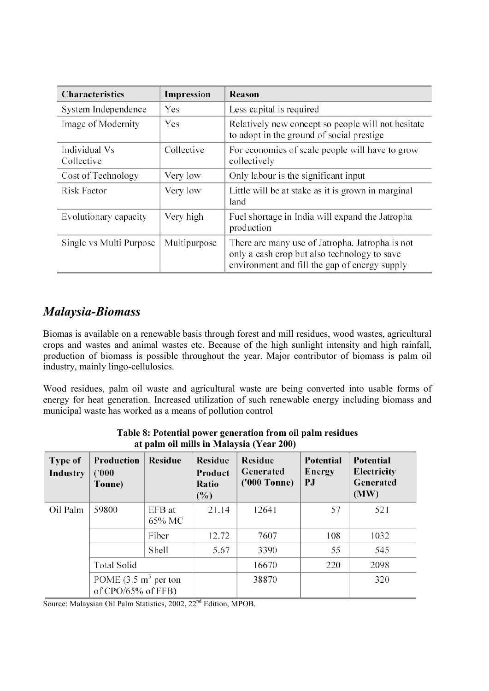| <b>Characteristics</b>      | Impression   | Reason                                                                                                                                           |
|-----------------------------|--------------|--------------------------------------------------------------------------------------------------------------------------------------------------|
| System Independence         | Yes          | Less capital is required                                                                                                                         |
| Image of Modernity          | Yes          | Relatively new concept so people will not hesitate<br>to adopt in the ground of social prestige                                                  |
| Individual Vs<br>Collective | Collective   | For economies of scale people will have to grow<br>collectively                                                                                  |
| Cost of Technology          | Very low     | Only labour is the significant input                                                                                                             |
| Risk Factor                 | Very low     | Little will be at stake as it is grown in marginal<br>land                                                                                       |
| Evolutionary capacity       | Very high    | Fuel shortage in India will expand the Jatropha<br>production                                                                                    |
| Single vs Multi Purpose     | Multipurpose | There are many use of Jatropha. Jatropha is not<br>only a cash crop but also technology to save<br>environment and fill the gap of energy supply |

## *Malaysia-Biomass*

Biomas is available on a renewable basis through forest and mill residues, wood wastes, agricultural crops and wastes and animal wastes etc. Because of the high sunlight intensity and high rainfall, production of biomass is possible throughout the year. Major contributor of biomass is palm oil industry, mainly lingo-cellulosics.

Wood residues, palm oil waste and agricultural waste are being converted into usable forms of energy for heat generation. Increased utilization of such renewable energy including biomass and municipal waste has worked as a means of pollution control

| at paint on mins in brancy sin $(1 \text{ cm})$ |                                                                                           |                  |                                    |                                             |                                  |                                               |
|-------------------------------------------------|-------------------------------------------------------------------------------------------|------------------|------------------------------------|---------------------------------------------|----------------------------------|-----------------------------------------------|
| Type of<br>Industry                             | Production<br>(1000)<br>Tonne)                                                            | Residue          | Residue<br>Product<br>Ratio<br>(%) | <b>Residue</b><br>Generated<br>('000 Tonne) | <b>Potential</b><br>Energy<br>РJ | Potential<br>Electricity<br>Generated<br>(MW) |
| Oil Palm                                        | 59800                                                                                     | EFB at<br>65% MC | 21.14                              | 12641                                       | 57                               | 521                                           |
|                                                 |                                                                                           | Fiber            | 12.72                              | 7607                                        | 108                              | 1032                                          |
|                                                 |                                                                                           | Shell            | 5.67                               | 3390                                        | 55                               | 545                                           |
|                                                 | <b>Total Solid</b><br>POME $(3.5 \text{ m}^3 \text{ per ton})$<br>of $CPO/65%$ of $FFB$ ) |                  |                                    | 16670                                       | 220                              | 2098                                          |
|                                                 |                                                                                           |                  |                                    | 38870                                       |                                  | 320                                           |

**Table 8: Potential power generation from oil palm residues at palm oil mills in Malaysia (Year 200)** 

Source: Malaysian Oil Palm Statistics, 2002, 22<sup>nd</sup> Edition, MPOB.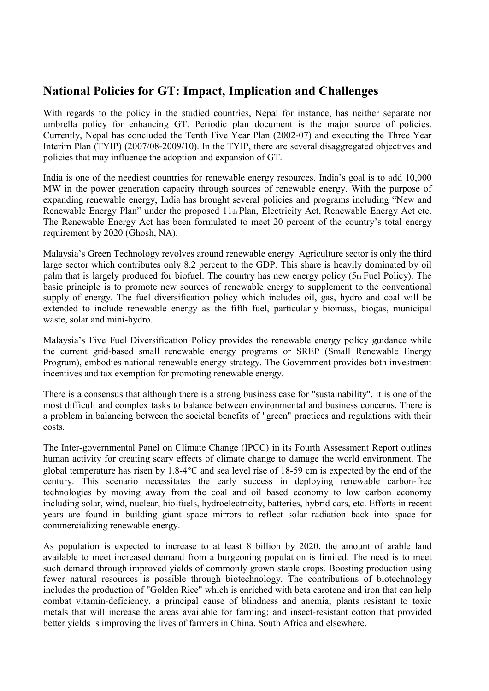### **National Policies for GT: Impact, Implication and Challenges**

With regards to the policy in the studied countries, Nepal for instance, has neither separate nor umbrella policy for enhancing GT. Periodic plan document is the major source of policies. Currently, Nepal has concluded the Tenth Five Year Plan (2002-07) and executing the Three Year Interim Plan (TYIP) (2007/08-2009/10). In the TYIP, there are several disaggregated objectives and policies that may influence the adoption and expansion of GT.

India is one of the neediest countries for renewable energy resources. India's goal is to add 10,000 MW in the power generation capacity through sources of renewable energy. With the purpose of expanding renewable energy, India has brought several policies and programs including "New and Renewable Energy Plan" under the proposed 11th Plan, Electricity Act, Renewable Energy Act etc. The Renewable Energy Act has been formulated to meet 20 percent of the country's total energy requirement by 2020 (Ghosh, NA).

Malaysia's Green Technology revolves around renewable energy. Agriculture sector is only the third large sector which contributes only 8.2 percent to the GDP. This share is heavily dominated by oil palm that is largely produced for biofuel. The country has new energy policy (5th Fuel Policy). The basic principle is to promote new sources of renewable energy to supplement to the conventional supply of energy. The fuel diversification policy which includes oil, gas, hydro and coal will be extended to include renewable energy as the fifth fuel, particularly biomass, biogas, municipal waste, solar and mini-hydro.

Malaysia's Five Fuel Diversification Policy provides the renewable energy policy guidance while the current grid-based small renewable energy programs or SREP (Small Renewable Energy Program), embodies national renewable energy strategy. The Government provides both investment incentives and tax exemption for promoting renewable energy.

There is a consensus that although there is a strong business case for "sustainability", it is one of the most difficult and complex tasks to balance between environmental and business concerns. There is a problem in balancing between the societal benefits of "green" practices and regulations with their costs.

The Inter-governmental Panel on Climate Change (IPCC) in its Fourth Assessment Report outlines human activity for creating scary effects of climate change to damage the world environment. The global temperature has risen by 1.8-4°C and sea level rise of 18-59 cm is expected by the end of the century. This scenario necessitates the early success in deploying renewable carbon-free technologies by moving away from the coal and oil based economy to low carbon economy including solar, wind, nuclear, bio-fuels, hydroelectricity, batteries, hybrid cars, etc. Efforts in recent years are found in building giant space mirrors to reflect solar radiation back into space for commercializing renewable energy.

As population is expected to increase to at least 8 billion by 2020, the amount of arable land available to meet increased demand from a burgeoning population is limited. The need is to meet such demand through improved yields of commonly grown staple crops. Boosting production using fewer natural resources is possible through biotechnology. The contributions of biotechnology includes the production of "Golden Rice" which is enriched with beta carotene and iron that can help combat vitamin-deficiency, a principal cause of blindness and anemia; plants resistant to toxic metals that will increase the areas available for farming; and insect-resistant cotton that provided better yields is improving the lives of farmers in China, South Africa and elsewhere.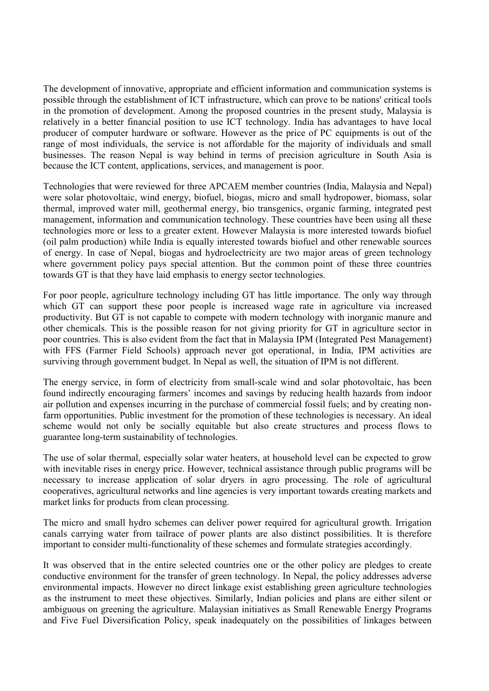The development of innovative, appropriate and efficient information and communication systems is possible through the establishment of ICT infrastructure, which can prove to be nations' critical tools in the promotion of development. Among the proposed countries in the present study, Malaysia is relatively in a better financial position to use ICT technology. India has advantages to have local producer of computer hardware or software. However as the price of PC equipments is out of the range of most individuals, the service is not affordable for the majority of individuals and small businesses. The reason Nepal is way behind in terms of precision agriculture in South Asia is because the ICT content, applications, services, and management is poor.

Technologies that were reviewed for three APCAEM member countries (India, Malaysia and Nepal) were solar photovoltaic, wind energy, biofuel, biogas, micro and small hydropower, biomass, solar thermal, improved water mill, geothermal energy, bio transgenics, organic farming, integrated pest management, information and communication technology. These countries have been using all these technologies more or less to a greater extent. However Malaysia is more interested towards biofuel (oil palm production) while India is equally interested towards biofuel and other renewable sources of energy. In case of Nepal, biogas and hydroelectricity are two major areas of green technology where government policy pays special attention. But the common point of these three countries towards GT is that they have laid emphasis to energy sector technologies.

For poor people, agriculture technology including GT has little importance. The only way through which GT can support these poor people is increased wage rate in agriculture via increased productivity. But GT is not capable to compete with modern technology with inorganic manure and other chemicals. This is the possible reason for not giving priority for GT in agriculture sector in poor countries. This is also evident from the fact that in Malaysia IPM (Integrated Pest Management) with FFS (Farmer Field Schools) approach never got operational, in India, IPM activities are surviving through government budget. In Nepal as well, the situation of IPM is not different.

The energy service, in form of electricity from small-scale wind and solar photovoltaic, has been found indirectly encouraging farmers' incomes and savings by reducing health hazards from indoor air pollution and expenses incurring in the purchase of commercial fossil fuels; and by creating nonfarm opportunities. Public investment for the promotion of these technologies is necessary. An ideal scheme would not only be socially equitable but also create structures and process flows to guarantee long-term sustainability of technologies.

The use of solar thermal, especially solar water heaters, at household level can be expected to grow with inevitable rises in energy price. However, technical assistance through public programs will be necessary to increase application of solar dryers in agro processing. The role of agricultural cooperatives, agricultural networks and line agencies is very important towards creating markets and market links for products from clean processing.

The micro and small hydro schemes can deliver power required for agricultural growth. Irrigation canals carrying water from tailrace of power plants are also distinct possibilities. It is therefore important to consider multi-functionality of these schemes and formulate strategies accordingly.

It was observed that in the entire selected countries one or the other policy are pledges to create conductive environment for the transfer of green technology. In Nepal, the policy addresses adverse environmental impacts. However no direct linkage exist establishing green agriculture technologies as the instrument to meet these objectives. Similarly, Indian policies and plans are either silent or ambiguous on greening the agriculture. Malaysian initiatives as Small Renewable Energy Programs and Five Fuel Diversification Policy, speak inadequately on the possibilities of linkages between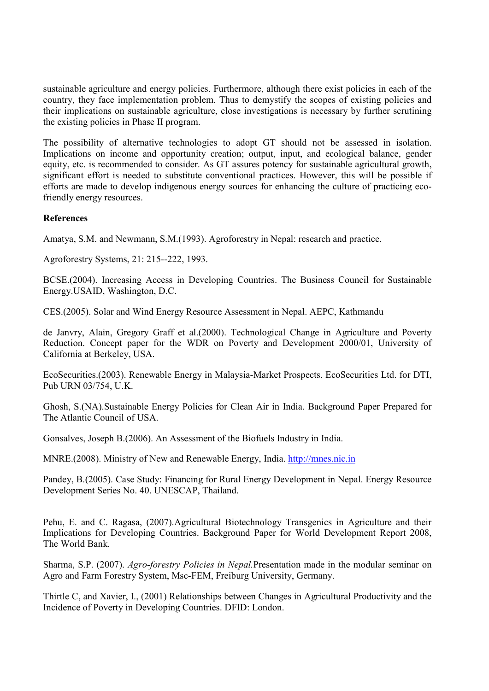sustainable agriculture and energy policies. Furthermore, although there exist policies in each of the country, they face implementation problem. Thus to demystify the scopes of existing policies and their implications on sustainable agriculture, close investigations is necessary by further scrutining the existing policies in Phase II program.

The possibility of alternative technologies to adopt GT should not be assessed in isolation. Implications on income and opportunity creation; output, input, and ecological balance, gender equity, etc. is recommended to consider. As GT assures potency for sustainable agricultural growth, significant effort is needed to substitute conventional practices. However, this will be possible if efforts are made to develop indigenous energy sources for enhancing the culture of practicing ecofriendly energy resources.

#### **References**

Amatya, S.M. and Newmann, S.M.(1993). Agroforestry in Nepal: research and practice.

Agroforestry Systems, 21: 215--222, 1993.

BCSE.(2004). Increasing Access in Developing Countries. The Business Council for Sustainable Energy.USAID, Washington, D.C.

CES.(2005). Solar and Wind Energy Resource Assessment in Nepal. AEPC, Kathmandu

de Janvry, Alain, Gregory Graff et al.(2000). Technological Change in Agriculture and Poverty Reduction. Concept paper for the WDR on Poverty and Development 2000/01, University of California at Berkeley, USA.

EcoSecurities.(2003). Renewable Energy in Malaysia-Market Prospects. EcoSecurities Ltd. for DTI, Pub URN 03/754, U.K.

Ghosh, S.(NA).Sustainable Energy Policies for Clean Air in India. Background Paper Prepared for The Atlantic Council of USA.

Gonsalves, Joseph B.(2006). An Assessment of the Biofuels Industry in India.

MNRE.(2008). Ministry of New and Renewable Energy, India. http://mnes.nic.in

Pandey, B.(2005). Case Study: Financing for Rural Energy Development in Nepal. Energy Resource Development Series No. 40. UNESCAP, Thailand.

Pehu, E. and C. Ragasa, (2007).Agricultural Biotechnology Transgenics in Agriculture and their Implications for Developing Countries. Background Paper for World Development Report 2008, The World Bank.

Sharma, S.P. (2007). *Agro-forestry Policies in Nepal.*Presentation made in the modular seminar on Agro and Farm Forestry System, Msc-FEM, Freiburg University, Germany.

Thirtle C, and Xavier, I., (2001) Relationships between Changes in Agricultural Productivity and the Incidence of Poverty in Developing Countries. DFID: London.